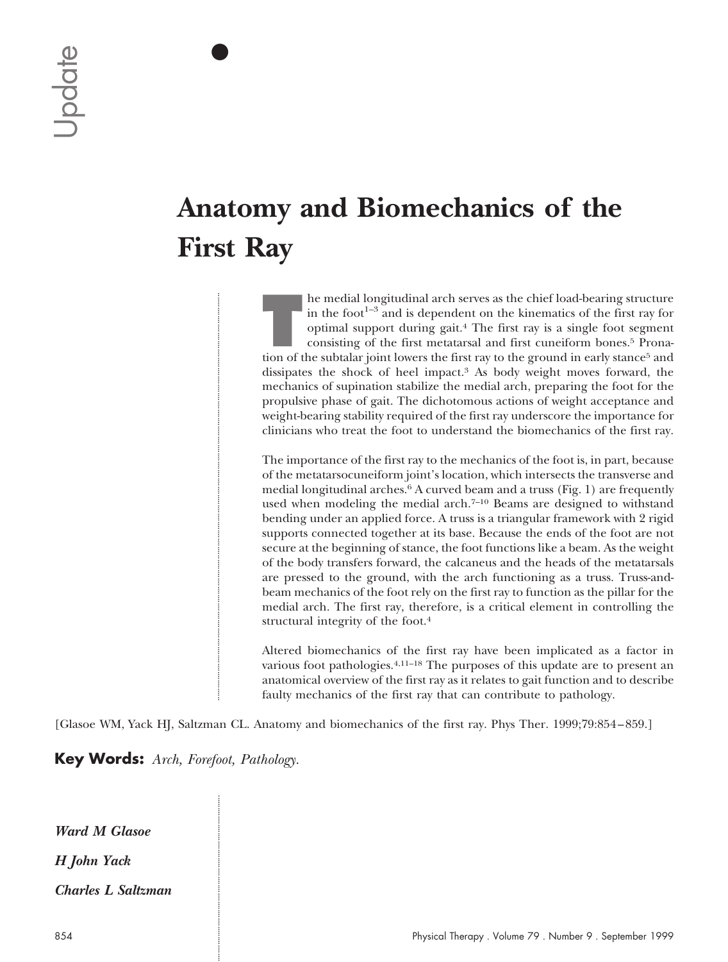$\bullet$ 

IIIIIIIIIIIIIIIIIIIIIIIIIIIIIIIIIIIIIIIIIIIIIIIIIIIIIIIIIIIIIIIIIIIIIIIIIIIIIIIIIIIIIIIIIIIIIIIIIIIIIIIIIIIIIIIIIIIIIIIIIIIIIIIIIIIIIIIIIIIIIIIIIIIIIIIIIIIIIIIIIIIIIIIIIIIIIIIIIIIIIIIIIIIIIIIIIIII

# **Anatomy and Biomechanics of the First Ray**

**THE hemisful conducts** in the foot<sup>1-3</sup> and is dependent on the kinematics of the first ray for optimal support during gait.<sup>4</sup> The first ray is a single foot segment consisting of the first metatarsal and first cuneiform in the foot $1-3$  and is dependent on the kinematics of the first ray for optimal support during gait.4 The first ray is a single foot segment consisting of the first metatarsal and first cuneiform bones.5 Pronation of the subtalar joint lowers the first ray to the ground in early stance<sup>5</sup> and dissipates the shock of heel impact.3 As body weight moves forward, the mechanics of supination stabilize the medial arch, preparing the foot for the propulsive phase of gait. The dichotomous actions of weight acceptance and weight-bearing stability required of the first ray underscore the importance for clinicians who treat the foot to understand the biomechanics of the first ray.

The importance of the first ray to the mechanics of the foot is, in part, because of the metatarsocuneiform joint's location, which intersects the transverse and medial longitudinal arches.6 A curved beam and a truss (Fig. 1) are frequently used when modeling the medial arch.<sup>7-10</sup> Beams are designed to withstand bending under an applied force. A truss is a triangular framework with 2 rigid supports connected together at its base. Because the ends of the foot are not secure at the beginning of stance, the foot functions like a beam. As the weight of the body transfers forward, the calcaneus and the heads of the metatarsals are pressed to the ground, with the arch functioning as a truss. Truss-andbeam mechanics of the foot rely on the first ray to function as the pillar for the medial arch. The first ray, therefore, is a critical element in controlling the structural integrity of the foot.4 **Anatomy and Biomechanics of the First Ray**<br>
British results and the set of the file of the set of the set of the set of the set of the set of the set of the set of the set of the set of the set of the set of the set of t

Altered biomechanics of the first ray have been implicated as a factor in various foot pathologies.4,11–18 The purposes of this update are to present an anatomical overview of the first ray as it relates to gait function and to describe faulty mechanics of the first ray that can contribute to pathology.

[Glasoe WM, Yack HJ, Saltzman CL. Anatomy and biomechanics of the first ray. Phys Ther. 1999;79:854–859.]

**Key Words:** *Arch, Forefoot, Pathology.*

IIIIIIIIIIIIIIIIIIIIIIIIIIIIIIIIIIIIIIIIIIIIIIIIIIIIIIIIIIIIIIIIIIIIIIIIIIIIIIII

*Ward M Glasoe H John Yack Charles L Saltzman*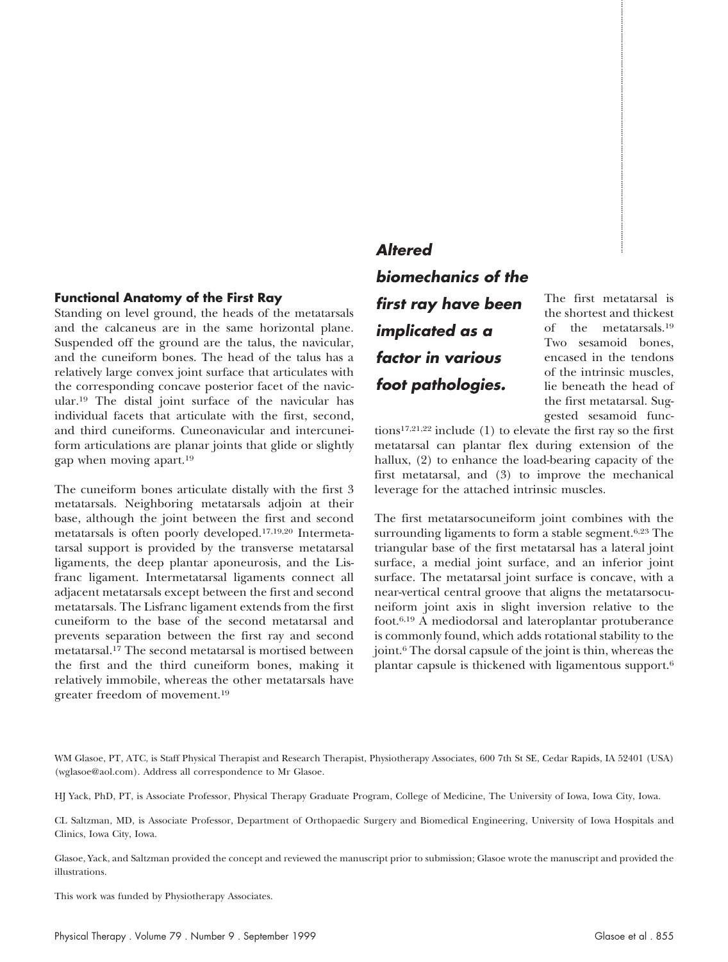## **Functional Anatomy of the First Ray**

Standing on level ground, the heads of the metatarsals and the calcaneus are in the same horizontal plane. Suspended off the ground are the talus, the navicular, and the cuneiform bones. The head of the talus has a relatively large convex joint surface that articulates with the corresponding concave posterior facet of the navicular.19 The distal joint surface of the navicular has individual facets that articulate with the first, second, and third cuneiforms. Cuneonavicular and intercuneiform articulations are planar joints that glide or slightly gap when moving apart.19

The cuneiform bones articulate distally with the first 3 metatarsals. Neighboring metatarsals adjoin at their base, although the joint between the first and second metatarsals is often poorly developed.17,19,20 Intermetatarsal support is provided by the transverse metatarsal ligaments, the deep plantar aponeurosis, and the Lisfranc ligament. Intermetatarsal ligaments connect all adjacent metatarsals except between the first and second metatarsals. The Lisfranc ligament extends from the first cuneiform to the base of the second metatarsal and prevents separation between the first ray and second metatarsal.17 The second metatarsal is mortised between the first and the third cuneiform bones, making it relatively immobile, whereas the other metatarsals have greater freedom of movement.19 **Altered**<br> **Shomechanics of the Soundary of the First Ray<br>
Shomechanics of the soundary of the First Ray<br>
Shomechanics of the transmission of the consistent with the consistent of the consistent of the consistent with the** 

# **Altered biomechanics of the first ray have been implicated as <sup>a</sup> factor in various foot pathologies.**

The first metatarsal is the shortest and thickest of the metatarsals.19 Two sesamoid bones, encased in the tendons of the intrinsic muscles, lie beneath the head of the first metatarsal. Suggested sesamoid func-

tions17,21,22 include (1) to elevate the first ray so the first metatarsal can plantar flex during extension of the hallux, (2) to enhance the load-bearing capacity of the first metatarsal, and (3) to improve the mechanical leverage for the attached intrinsic muscles.

The first metatarsocuneiform joint combines with the surrounding ligaments to form a stable segment.<sup>6,23</sup> The triangular base of the first metatarsal has a lateral joint surface, a medial joint surface, and an inferior joint surface. The metatarsal joint surface is concave, with a near-vertical central groove that aligns the metatarsocuneiform joint axis in slight inversion relative to the foot.6,19 A mediodorsal and lateroplantar protuberance is commonly found, which adds rotational stability to the joint.6 The dorsal capsule of the joint is thin, whereas the plantar capsule is thickened with ligamentous support.6

WM Glasoe, PT, ATC, is Staff Physical Therapist and Research Therapist, Physiotherapy Associates, 600 7th St SE, Cedar Rapids, IA 52401 (USA) (wglasoe@aol.com). Address all correspondence to Mr Glasoe.

HJ Yack, PhD, PT, is Associate Professor, Physical Therapy Graduate Program, College of Medicine, The University of Iowa, Iowa City, Iowa.

CL Saltzman, MD, is Associate Professor, Department of Orthopaedic Surgery and Biomedical Engineering, University of Iowa Hospitals and Clinics, Iowa City, Iowa.

Glasoe, Yack, and Saltzman provided the concept and reviewed the manuscript prior to submission; Glasoe wrote the manuscript and provided the illustrations.

This work was funded by Physiotherapy Associates.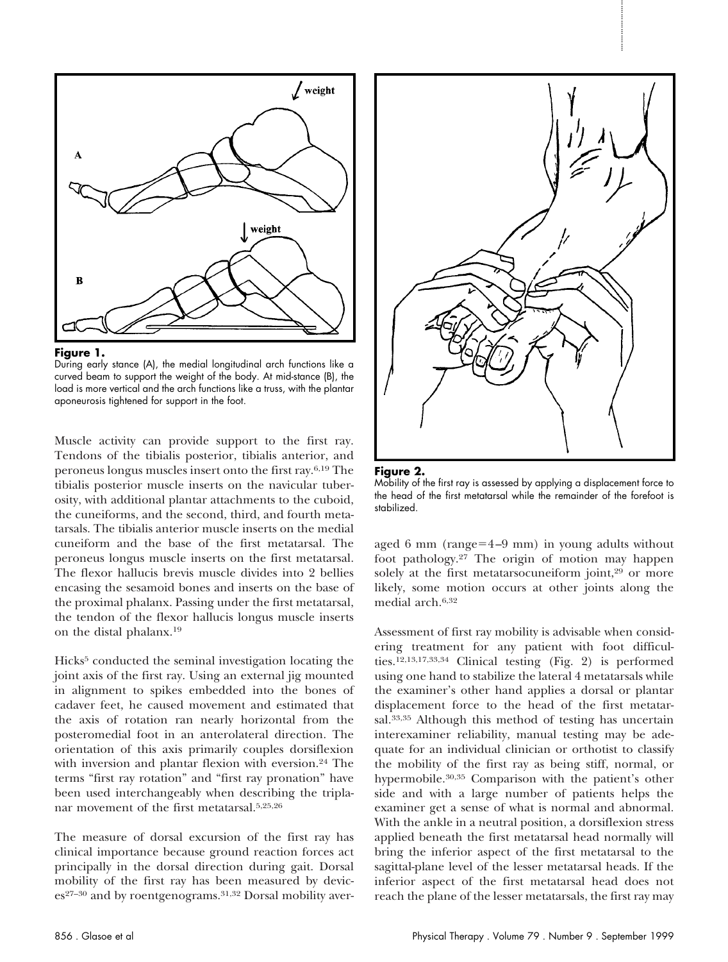



During early stance (A), the medial longitudinal arch functions like a curved beam to support the weight of the body. At mid-stance (B), the load is more vertical and the arch functions like a truss, with the plantar aponeurosis tightened for support in the foot.

Muscle activity can provide support to the first ray. Tendons of the tibialis posterior, tibialis anterior, and peroneus longus muscles insert onto the first ray.6,19 The tibialis posterior muscle inserts on the navicular tuberosity, with additional plantar attachments to the cuboid, the cuneiforms, and the second, third, and fourth metatarsals. The tibialis anterior muscle inserts on the medial cuneiform and the base of the first metatarsal. The peroneus longus muscle inserts on the first metatarsal. The flexor hallucis brevis muscle divides into 2 bellies encasing the sesamoid bones and inserts on the base of the proximal phalanx. Passing under the first metatarsal, the tendon of the flexor hallucis longus muscle inserts on the distal phalanx.19

Hicks<sup>5</sup> conducted the seminal investigation locating the joint axis of the first ray. Using an external jig mounted in alignment to spikes embedded into the bones of cadaver feet, he caused movement and estimated that the axis of rotation ran nearly horizontal from the posteromedial foot in an anterolateral direction. The orientation of this axis primarily couples dorsiflexion with inversion and plantar flexion with eversion.<sup>24</sup> The terms "first ray rotation" and "first ray pronation" have been used interchangeably when describing the triplanar movement of the first metatarsal.5,25,26

The measure of dorsal excursion of the first ray has clinical importance because ground reaction forces act principally in the dorsal direction during gait. Dorsal mobility of the first ray has been measured by devices<sup>27-30</sup> and by roentgenograms.<sup>31,32</sup> Dorsal mobility aver-





aged 6 mm (range= $4-9$  mm) in young adults without foot pathology.27 The origin of motion may happen solely at the first metatarsocuneiform joint,<sup>29</sup> or more likely, some motion occurs at other joints along the medial arch.6,32

Assessment of first ray mobility is advisable when considering treatment for any patient with foot difficulties.12,13,17,33,34 Clinical testing (Fig. 2) is performed using one hand to stabilize the lateral 4 metatarsals while the examiner's other hand applies a dorsal or plantar displacement force to the head of the first metatarsal.<sup>33,35</sup> Although this method of testing has uncertain interexaminer reliability, manual testing may be adequate for an individual clinician or orthotist to classify the mobility of the first ray as being stiff, normal, or hypermobile.30,35 Comparison with the patient's other side and with a large number of patients helps the examiner get a sense of what is normal and abnormal. With the ankle in a neutral position, a dorsiflexion stress applied beneath the first metatarsal head normally will bring the inferior aspect of the first metatarsal to the sagittal-plane level of the lesser metatarsal heads. If the inferior aspect of the first metatarsal head does not reach the plane of the lesser metatarsals, the first ray may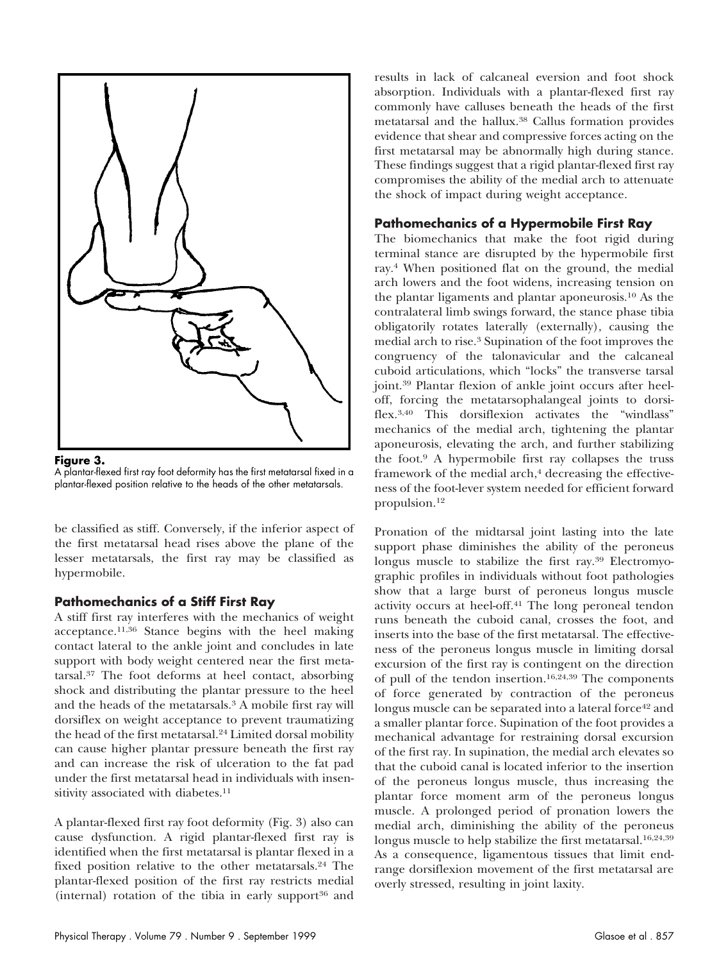

**Figure 3.**

A plantar-flexed first ray foot deformity has the first metatarsal fixed in a plantar-flexed position relative to the heads of the other metatarsals.

be classified as stiff. Conversely, if the inferior aspect of the first metatarsal head rises above the plane of the lesser metatarsals, the first ray may be classified as hypermobile.

# **Pathomechanics of a Stiff First Ray**

A stiff first ray interferes with the mechanics of weight acceptance.11,36 Stance begins with the heel making contact lateral to the ankle joint and concludes in late support with body weight centered near the first metatarsal.37 The foot deforms at heel contact, absorbing shock and distributing the plantar pressure to the heel and the heads of the metatarsals.3 A mobile first ray will dorsiflex on weight acceptance to prevent traumatizing the head of the first metatarsal.24 Limited dorsal mobility can cause higher plantar pressure beneath the first ray and can increase the risk of ulceration to the fat pad under the first metatarsal head in individuals with insensitivity associated with diabetes.<sup>11</sup>

A plantar-flexed first ray foot deformity (Fig. 3) also can cause dysfunction. A rigid plantar-flexed first ray is identified when the first metatarsal is plantar flexed in a fixed position relative to the other metatarsals.24 The plantar-flexed position of the first ray restricts medial (internal) rotation of the tibia in early support $36$  and results in lack of calcaneal eversion and foot shock absorption. Individuals with a plantar-flexed first ray commonly have calluses beneath the heads of the first metatarsal and the hallux.38 Callus formation provides evidence that shear and compressive forces acting on the first metatarsal may be abnormally high during stance. These findings suggest that a rigid plantar-flexed first ray compromises the ability of the medial arch to attenuate the shock of impact during weight acceptance.

# **Pathomechanics of a Hypermobile First Ray**

The biomechanics that make the foot rigid during terminal stance are disrupted by the hypermobile first ray.4 When positioned flat on the ground, the medial arch lowers and the foot widens, increasing tension on the plantar ligaments and plantar aponeurosis.10 As the contralateral limb swings forward, the stance phase tibia obligatorily rotates laterally (externally), causing the medial arch to rise.3 Supination of the foot improves the congruency of the talonavicular and the calcaneal cuboid articulations, which "locks" the transverse tarsal joint.39 Plantar flexion of ankle joint occurs after heeloff, forcing the metatarsophalangeal joints to dorsiflex.3,40 This dorsiflexion activates the "windlass" mechanics of the medial arch, tightening the plantar aponeurosis, elevating the arch, and further stabilizing the foot.9 A hypermobile first ray collapses the truss framework of the medial arch,<sup>4</sup> decreasing the effectiveness of the foot-lever system needed for efficient forward propulsion.12

Pronation of the midtarsal joint lasting into the late support phase diminishes the ability of the peroneus longus muscle to stabilize the first ray.39 Electromyographic profiles in individuals without foot pathologies show that a large burst of peroneus longus muscle activity occurs at heel-off.41 The long peroneal tendon runs beneath the cuboid canal, crosses the foot, and inserts into the base of the first metatarsal. The effectiveness of the peroneus longus muscle in limiting dorsal excursion of the first ray is contingent on the direction of pull of the tendon insertion.16,24,39 The components of force generated by contraction of the peroneus longus muscle can be separated into a lateral force<sup>42</sup> and a smaller plantar force. Supination of the foot provides a mechanical advantage for restraining dorsal excursion of the first ray. In supination, the medial arch elevates so that the cuboid canal is located inferior to the insertion of the peroneus longus muscle, thus increasing the plantar force moment arm of the peroneus longus muscle. A prolonged period of pronation lowers the medial arch, diminishing the ability of the peroneus longus muscle to help stabilize the first metatarsal.<sup>16,24,39</sup> As a consequence, ligamentous tissues that limit endrange dorsiflexion movement of the first metatarsal are overly stressed, resulting in joint laxity.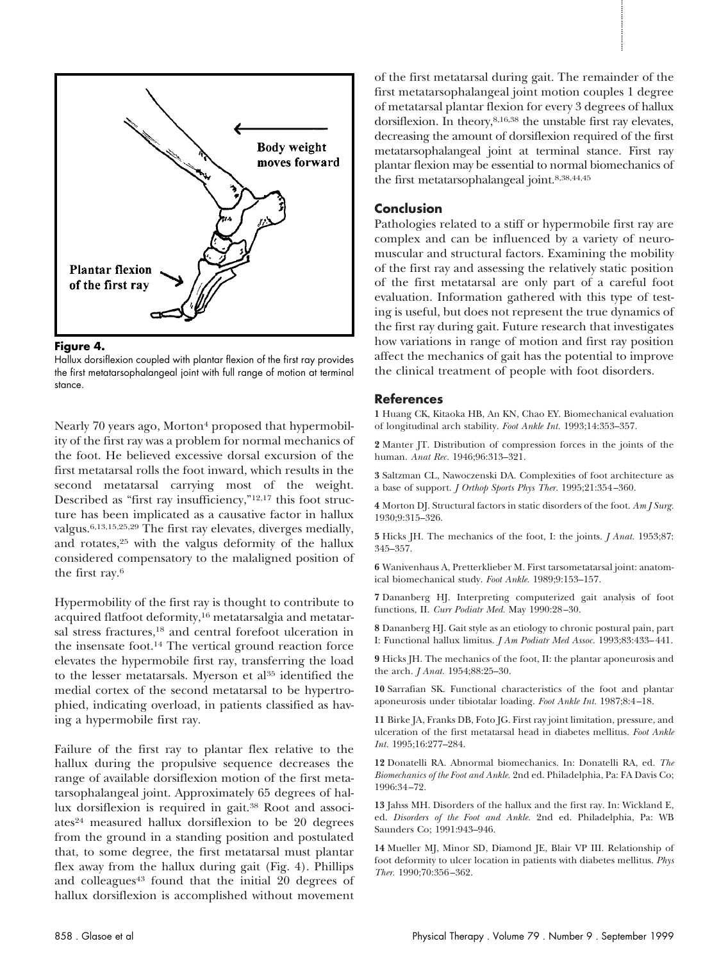

#### **Figure 4.**

Hallux dorsiflexion coupled with plantar flexion of the first ray provides the first metatarsophalangeal joint with full range of motion at terminal stance.

Nearly 70 years ago, Morton<sup>4</sup> proposed that hypermobility of the first ray was a problem for normal mechanics of the foot. He believed excessive dorsal excursion of the first metatarsal rolls the foot inward, which results in the second metatarsal carrying most of the weight. Described as "first ray insufficiency,"12,17 this foot structure has been implicated as a causative factor in hallux valgus.6,13,15,25,29 The first ray elevates, diverges medially, and rotates,25 with the valgus deformity of the hallux considered compensatory to the malaligned position of the first ray.6

Hypermobility of the first ray is thought to contribute to acquired flatfoot deformity,<sup>16</sup> metatarsalgia and metatarsal stress fractures,18 and central forefoot ulceration in the insensate foot.14 The vertical ground reaction force elevates the hypermobile first ray, transferring the load to the lesser metatarsals. Myerson et al<sup>35</sup> identified the medial cortex of the second metatarsal to be hypertrophied, indicating overload, in patients classified as having a hypermobile first ray.

Failure of the first ray to plantar flex relative to the hallux during the propulsive sequence decreases the range of available dorsiflexion motion of the first metatarsophalangeal joint. Approximately 65 degrees of hallux dorsiflexion is required in gait.38 Root and associates<sup>24</sup> measured hallux dorsiflexion to be 20 degrees from the ground in a standing position and postulated that, to some degree, the first metatarsal must plantar flex away from the hallux during gait (Fig. 4). Phillips and colleagues<sup>43</sup> found that the initial 20 degrees of hallux dorsiflexion is accomplished without movement of the first metatarsal during gait. The remainder of the first metatarsophalangeal joint motion couples 1 degree of metatarsal plantar flexion for every 3 degrees of hallux dorsiflexion. In theory,8,16,38 the unstable first ray elevates, decreasing the amount of dorsiflexion required of the first metatarsophalangeal joint at terminal stance. First ray plantar flexion may be essential to normal biomechanics of the first metatarsophalangeal joint.8,38,44,45

## **Conclusion**

Pathologies related to a stiff or hypermobile first ray are complex and can be influenced by a variety of neuromuscular and structural factors. Examining the mobility of the first ray and assessing the relatively static position of the first metatarsal are only part of a careful foot evaluation. Information gathered with this type of testing is useful, but does not represent the true dynamics of the first ray during gait. Future research that investigates how variations in range of motion and first ray position affect the mechanics of gait has the potential to improve the clinical treatment of people with foot disorders.

#### **References**

**1** Huang CK, Kitaoka HB, An KN, Chao EY. Biomechanical evaluation of longitudinal arch stability. *Foot Ankle Int.* 1993;14:353–357.

**2** Manter JT. Distribution of compression forces in the joints of the human. *Anat Rec.* 1946;96:313–321.

**3** Saltzman CL, Nawoczenski DA. Complexities of foot architecture as a base of support. *J Orthop Sports Phys Ther.* 1995;21:354–360.

**4** Morton DJ. Structural factors in static disorders of the foot. *Am J Surg.* 1930;9:315–326.

**5** Hicks JH. The mechanics of the foot, I: the joints. *J Anat.* 1953;87: 345–357.

**6** Wanivenhaus A, Pretterklieber M. First tarsometatarsal joint: anatomical biomechanical study. *Foot Ankle.* 1989;9:153–157.

**7** Dananberg HJ. Interpreting computerized gait analysis of foot functions, II. *Curr Podiatr Med.* May 1990:28–30.

**8** Dananberg HJ. Gait style as an etiology to chronic postural pain, part I: Functional hallux limitus. *J Am Podiatr Med Assoc.* 1993;83:433–441.

**9** Hicks JH. The mechanics of the foot, II: the plantar aponeurosis and the arch. *J Anat.* 1954;88:25–30.

**10** Sarrafian SK. Functional characteristics of the foot and plantar aponeurosis under tibiotalar loading. *Foot Ankle Int.* 1987;8:4–18.

**11** Birke JA, Franks DB, Foto JG. First ray joint limitation, pressure, and ulceration of the first metatarsal head in diabetes mellitus. *Foot Ankle Int.* 1995;16:277–284.

**12** Donatelli RA. Abnormal biomechanics. In: Donatelli RA, ed. *The Biomechanics of the Foot and Ankle.* 2nd ed. Philadelphia, Pa: FA Davis Co; 1996:34–72.

**13** Jahss MH. Disorders of the hallux and the first ray. In: Wickland E, ed. *Disorders of the Foot and Ankle.* 2nd ed. Philadelphia, Pa: WB Saunders Co; 1991:943–946.

**14** Mueller MJ, Minor SD, Diamond JE, Blair VP III. Relationship of foot deformity to ulcer location in patients with diabetes mellitus. *Phys Ther.* 1990;70:356–362.